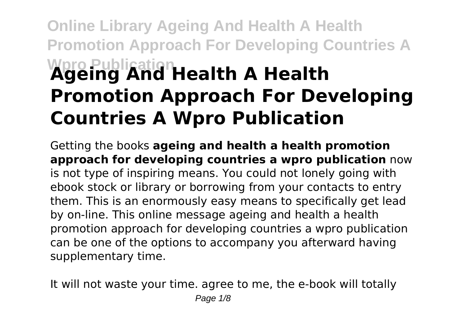## **Online Library Ageing And Health A Health Promotion Approach For Developing Countries A Wpro Publication Ageing And Health A Health Promotion Approach For Developing Countries A Wpro Publication**

Getting the books **ageing and health a health promotion approach for developing countries a wpro publication** now is not type of inspiring means. You could not lonely going with ebook stock or library or borrowing from your contacts to entry them. This is an enormously easy means to specifically get lead by on-line. This online message ageing and health a health promotion approach for developing countries a wpro publication can be one of the options to accompany you afterward having supplementary time.

It will not waste your time. agree to me, the e-book will totally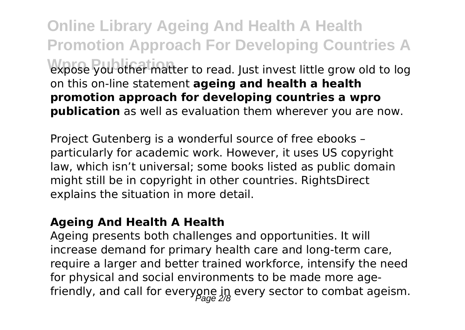**Online Library Ageing And Health A Health Promotion Approach For Developing Countries A** expose you other matter to read. Just invest little grow old to log on this on-line statement **ageing and health a health promotion approach for developing countries a wpro publication** as well as evaluation them wherever you are now.

Project Gutenberg is a wonderful source of free ebooks – particularly for academic work. However, it uses US copyright law, which isn't universal; some books listed as public domain might still be in copyright in other countries. RightsDirect explains the situation in more detail.

#### **Ageing And Health A Health**

Ageing presents both challenges and opportunities. It will increase demand for primary health care and long-term care, require a larger and better trained workforce, intensify the need for physical and social environments to be made more agefriendly, and call for everyone  $\mathfrak{g}_n$  every sector to combat ageism.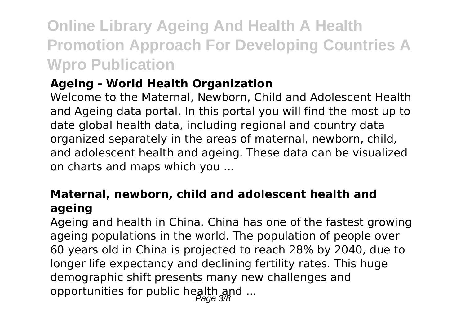### **Online Library Ageing And Health A Health Promotion Approach For Developing Countries A Wpro Publication**

### **Ageing - World Health Organization**

Welcome to the Maternal, Newborn, Child and Adolescent Health and Ageing data portal. In this portal you will find the most up to date global health data, including regional and country data organized separately in the areas of maternal, newborn, child, and adolescent health and ageing. These data can be visualized on charts and maps which you ...

### **Maternal, newborn, child and adolescent health and ageing**

Ageing and health in China. China has one of the fastest growing ageing populations in the world. The population of people over 60 years old in China is projected to reach 28% by 2040, due to longer life expectancy and declining fertility rates. This huge demographic shift presents many new challenges and opportunities for public health and ...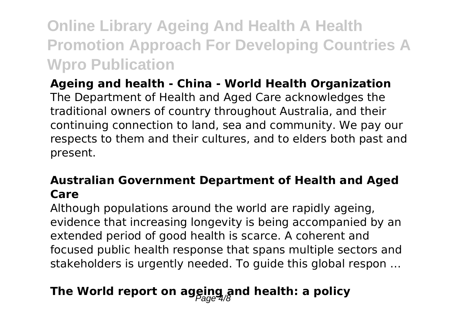**Online Library Ageing And Health A Health Promotion Approach For Developing Countries A Wpro Publication**

**Ageing and health - China - World Health Organization** The Department of Health and Aged Care acknowledges the traditional owners of country throughout Australia, and their continuing connection to land, sea and community. We pay our respects to them and their cultures, and to elders both past and present.

### **Australian Government Department of Health and Aged Care**

Although populations around the world are rapidly ageing, evidence that increasing longevity is being accompanied by an extended period of good health is scarce. A coherent and focused public health response that spans multiple sectors and stakeholders is urgently needed. To guide this global respon …

### The World report on ageing and health: a policy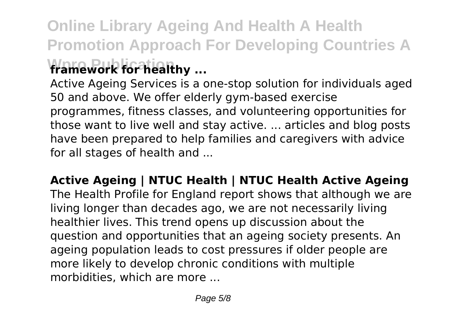### **Online Library Ageing And Health A Health Promotion Approach For Developing Countries A framework for healthy ...**

Active Ageing Services is a one-stop solution for individuals aged 50 and above. We offer elderly gym-based exercise programmes, fitness classes, and volunteering opportunities for those want to live well and stay active. ... articles and blog posts have been prepared to help families and caregivers with advice for all stages of health and ...

**Active Ageing | NTUC Health | NTUC Health Active Ageing** The Health Profile for England report shows that although we are living longer than decades ago, we are not necessarily living healthier lives. This trend opens up discussion about the question and opportunities that an ageing society presents. An ageing population leads to cost pressures if older people are more likely to develop chronic conditions with multiple morbidities, which are more ...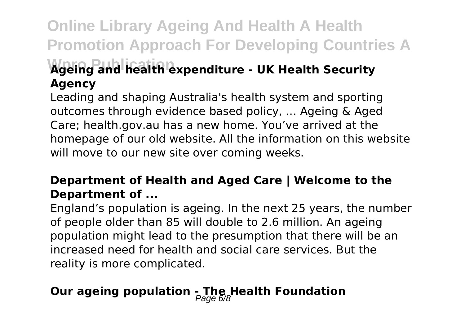### **Online Library Ageing And Health A Health Promotion Approach For Developing Countries A Wpro Publication Ageing and health expenditure - UK Health Security**

# **Agency**

Leading and shaping Australia's health system and sporting outcomes through evidence based policy, ... Ageing & Aged Care; health.gov.au has a new home. You've arrived at the homepage of our old website. All the information on this website will move to our new site over coming weeks.

### **Department of Health and Aged Care | Welcome to the Department of ...**

England's population is ageing. In the next 25 years, the number of people older than 85 will double to 2.6 million. An ageing population might lead to the presumption that there will be an increased need for health and social care services. But the reality is more complicated.

### **Our ageing population - The Health Foundation**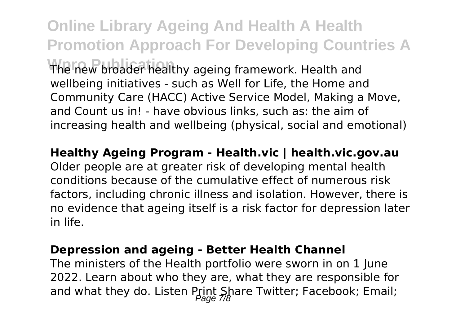**Online Library Ageing And Health A Health Promotion Approach For Developing Countries A** The new broader healthy ageing framework. Health and wellbeing initiatives - such as Well for Life, the Home and Community Care (HACC) Active Service Model, Making a Move, and Count us in! - have obvious links, such as: the aim of increasing health and wellbeing (physical, social and emotional)

**Healthy Ageing Program - Health.vic | health.vic.gov.au** Older people are at greater risk of developing mental health conditions because of the cumulative effect of numerous risk factors, including chronic illness and isolation. However, there is no evidence that ageing itself is a risk factor for depression later

in life.

#### **Depression and ageing - Better Health Channel**

The ministers of the Health portfolio were sworn in on 1 June 2022. Learn about who they are, what they are responsible for and what they do. Listen Print Share Twitter; Facebook; Email;